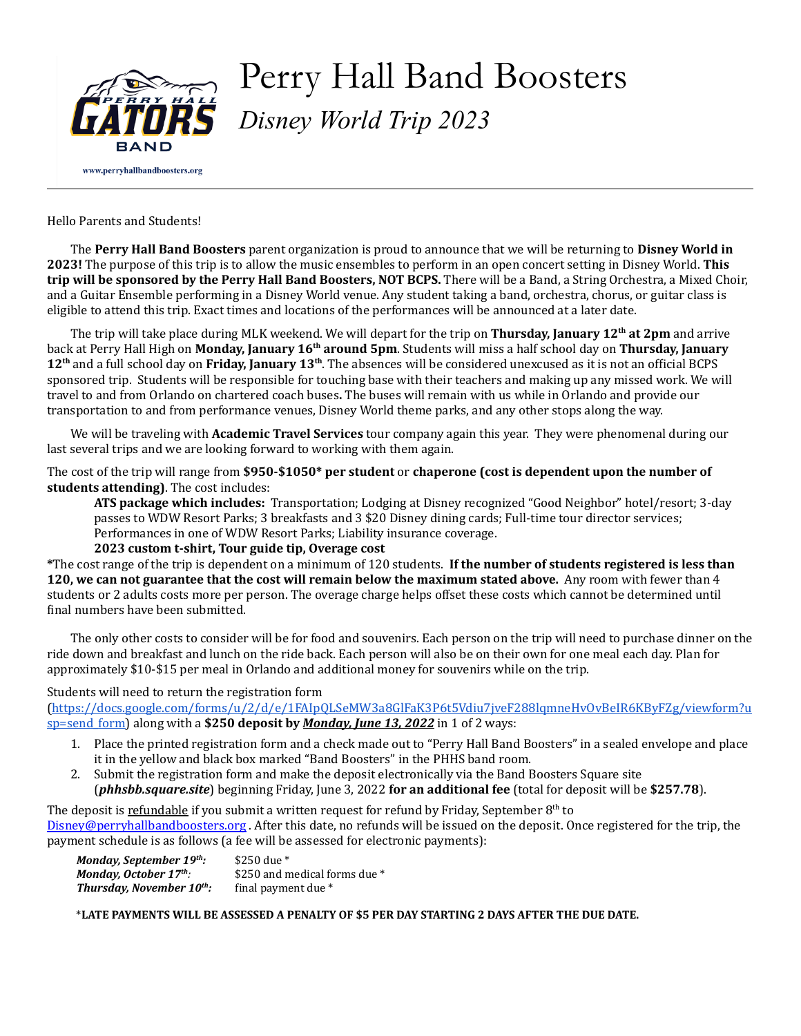

# Perry Hall Band Boosters *Disney World Trip 2023*

Hello Parents and Students!

The **Perry Hall Band Boosters** parent organization is proud to announce that we will be returning to **Disney World in 2023!** The purpose of this trip is to allow the music ensembles to perform in an open concert setting in Disney World. **This trip will be sponsored by the Perry Hall Band Boosters, NOT BCPS.** There will be a Band, a String Orchestra, a Mixed Choir, and a Guitar Ensemble performing in a Disney World venue. Any student taking a band, orchestra, chorus, or guitar class is eligible to attend this trip. Exact times and locations of the performances will be announced at a later date.

The trip will take place during MLK weekend. We will depart for the trip on **Thursday, January 12 th at 2pm** and arrive back at Perry Hall High on **Monday, January 16 th around 5pm**. Students will miss a half school day on **Thursday, January** 12<sup>th</sup> and a full school day on **Friday, January** 13<sup>th</sup>. The absences will be considered unexcused as it is not an official BCPS sponsored trip. Students will be responsible for touching base with their teachers and making up any missed work. We will travel to and from Orlando on chartered coach buses**.** The buses will remain with us while in Orlando and provide our transportation to and from performance venues, Disney World theme parks, and any other stops along the way.

We will be traveling with **Academic Travel Services** tour company again this year. They were phenomenal during our last several trips and we are looking forward to working with them again.

The cost of the trip will range from **\$950-\$1050\* per student** or **chaperone (cost is dependent upon the number of students attending)**. The cost includes:

**ATS package which includes:** Transportation; Lodging at Disney recognized "Good Neighbor" hotel/resort; 3-day passes to WDW Resort Parks; 3 breakfasts and 3 \$20 Disney dining cards; Full-time tour director services; Performances in one of WDW Resort Parks; Liability insurance coverage.

# **2023 custom t-shirt, Tour guide tip, Overage cost**

**\***The cost range of the trip is dependent on a minimum of 120 students. **If the number of students registered is less than 120, we can not guarantee that the cost will remain below the maximum stated above.** Any room with fewer than 4 students or 2 adults costs more per person. The overage charge helps offset these costs which cannot be determined until inal numbers have been submitted.

The only other costs to consider will be for food and souvenirs. Each person on the trip will need to purchase dinner on the ride down and breakfast and lunch on the ride back. Each person will also be on their own for one meal each day. Plan for approximately \$10-\$15 per meal in Orlando and additional money for souvenirs while on the trip.

# Students will need to return the registration form

([https://docs.google.com/forms/u/2/d/e/1FAIpQLSeMW3a8GlFaK3P6t5Vdiu7jveF288lqmneHvOvBeIR6KByFZg/viewform?u](https://docs.google.com/forms/u/2/d/e/1FAIpQLSeMW3a8GlFaK3P6t5Vdiu7jveF288lqmneHvOvBeIR6KByFZg/viewform?usp=send_form) [sp=send\\_form](https://docs.google.com/forms/u/2/d/e/1FAIpQLSeMW3a8GlFaK3P6t5Vdiu7jveF288lqmneHvOvBeIR6KByFZg/viewform?usp=send_form)) along with a **\$250 deposit by** *Monday, June 13, 2022* in 1 of 2 ways:

- 1. Place the printed registration form and a check made out to "Perry Hall Band Boosters" in a sealed envelope and place it in the yellow and black box marked "Band Boosters" in the PHHS band room.
- 2. Submit the registration form and make the deposit electronically via the Band Boosters Square site (*phhsbb.square.site*) beginning Friday, June 3, 2022 **for an additional fee** (total for deposit will be **\$257.78**).

The deposit is <u>refundable</u> if you submit a written request for refund by Friday, September 8<sup>th</sup> to [Disney@perryhallbandboosters.org](mailto:Disney@perryhallbandboosters.org) . After this date, no refunds will be issued on the deposit. Once registered for the trip, the payment schedule is as follows (a fee will be assessed for electronic payments):

*Monday, September 19th:* \$250 due \* *Monday, October 17<sup>th</sup>:* \$250 and medical forms due \* **Thursday, November 10<sup>th</sup>:** final payment due \*

\***LATE PAYMENTS WILL BE ASSESSED A PENALTY OF \$5 PER DAY STARTING 2 DAYS AFTER THE DUE DATE.**